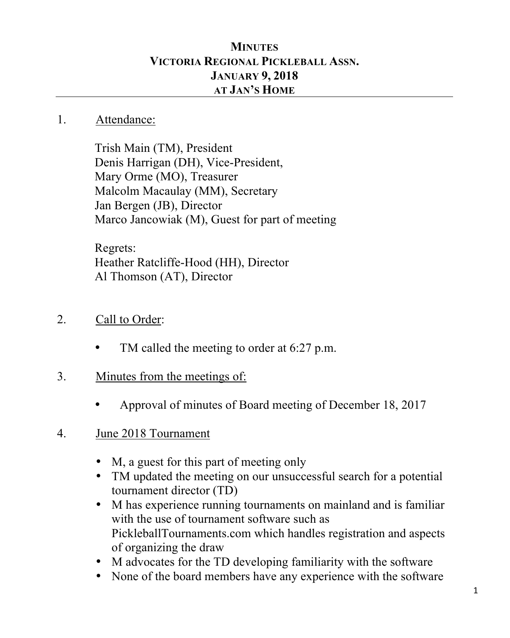## **MINUTES VICTORIA REGIONAL PICKLEBALL ASSN. JANUARY 9, 2018 AT JAN'S HOME**

## 1. Attendance:

Trish Main (TM), President Denis Harrigan (DH), Vice-President, Mary Orme (MO), Treasurer Malcolm Macaulay (MM), Secretary Jan Bergen (JB), Director Marco Jancowiak (M), Guest for part of meeting

Regrets: Heather Ratcliffe-Hood (HH), Director Al Thomson (AT), Director

- 2. Call to Order:
	- TM called the meeting to order at 6:27 p.m.
- 3. Minutes from the meetings of:
	- Approval of minutes of Board meeting of December 18, 2017
- 4. June 2018 Tournament
	- M, a guest for this part of meeting only
	- TM updated the meeting on our unsuccessful search for a potential tournament director (TD)
	- M has experience running tournaments on mainland and is familiar with the use of tournament software such as PickleballTournaments.com which handles registration and aspects of organizing the draw
	- M advocates for the TD developing familiarity with the software
	- None of the board members have any experience with the software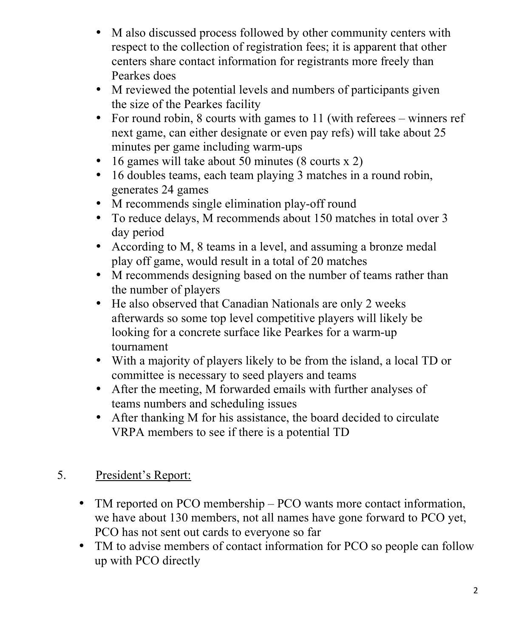- M also discussed process followed by other community centers with respect to the collection of registration fees; it is apparent that other centers share contact information for registrants more freely than Pearkes does
- M reviewed the potential levels and numbers of participants given the size of the Pearkes facility
- For round robin, 8 courts with games to 11 (with referees winners ref next game, can either designate or even pay refs) will take about 25 minutes per game including warm-ups
- 16 games will take about 50 minutes (8 courts x 2)
- 16 doubles teams, each team playing 3 matches in a round robin, generates 24 games
- M recommends single elimination play-off round
- To reduce delays, M recommends about 150 matches in total over 3 day period
- According to M, 8 teams in a level, and assuming a bronze medal play off game, would result in a total of 20 matches
- M recommends designing based on the number of teams rather than the number of players
- He also observed that Canadian Nationals are only 2 weeks afterwards so some top level competitive players will likely be looking for a concrete surface like Pearkes for a warm-up tournament
- With a majority of players likely to be from the island, a local TD or committee is necessary to seed players and teams
- After the meeting, M forwarded emails with further analyses of teams numbers and scheduling issues
- After thanking M for his assistance, the board decided to circulate VRPA members to see if there is a potential TD

## 5. President's Report:

- TM reported on PCO membership PCO wants more contact information, we have about 130 members, not all names have gone forward to PCO yet, PCO has not sent out cards to everyone so far
- TM to advise members of contact information for PCO so people can follow up with PCO directly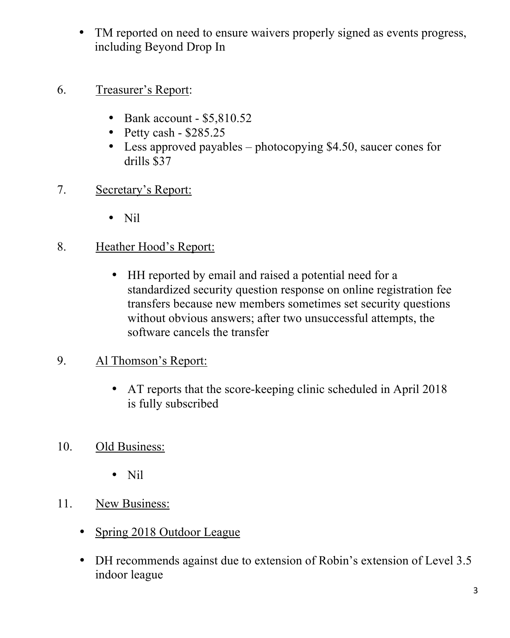- TM reported on need to ensure waivers properly signed as events progress, including Beyond Drop In
- 6. Treasurer's Report:
	- Bank account \$5,810.52
	- Petty cash  $$285.25$
	- Less approved payables photocopying \$4.50, saucer cones for drills \$37
- 7. Secretary's Report:
	- Nil
- 8. Heather Hood's Report:
	- HH reported by email and raised a potential need for a standardized security question response on online registration fee transfers because new members sometimes set security questions without obvious answers; after two unsuccessful attempts, the software cancels the transfer
- 9. Al Thomson's Report:
	- AT reports that the score-keeping clinic scheduled in April 2018 is fully subscribed
- 10. Old Business:
	- Nil
- 11. New Business:
	- Spring 2018 Outdoor League
	- DH recommends against due to extension of Robin's extension of Level 3.5 indoor league